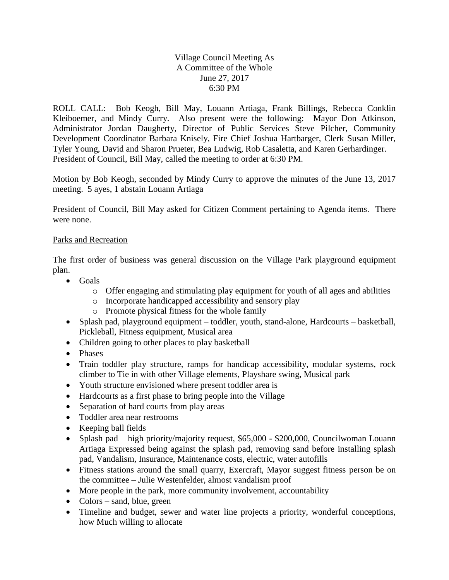Village Council Meeting As A Committee of the Whole June 27, 2017 6:30 PM

ROLL CALL: Bob Keogh, Bill May, Louann Artiaga, Frank Billings, Rebecca Conklin Kleiboemer, and Mindy Curry. Also present were the following: Mayor Don Atkinson, Administrator Jordan Daugherty, Director of Public Services Steve Pilcher, Community Development Coordinator Barbara Knisely, Fire Chief Joshua Hartbarger, Clerk Susan Miller, Tyler Young, David and Sharon Prueter, Bea Ludwig, Rob Casaletta, and Karen Gerhardinger. President of Council, Bill May, called the meeting to order at 6:30 PM.

Motion by Bob Keogh, seconded by Mindy Curry to approve the minutes of the June 13, 2017 meeting. 5 ayes, 1 abstain Louann Artiaga

President of Council, Bill May asked for Citizen Comment pertaining to Agenda items. There were none.

## Parks and Recreation

The first order of business was general discussion on the Village Park playground equipment plan.

- Goals
	- o Offer engaging and stimulating play equipment for youth of all ages and abilities
	- o Incorporate handicapped accessibility and sensory play
	- o Promote physical fitness for the whole family
- Splash pad, playground equipment toddler, youth, stand-alone, Hardcourts basketball, Pickleball, Fitness equipment, Musical area
- Children going to other places to play basketball
- Phases
- Train toddler play structure, ramps for handicap accessibility, modular systems, rock climber to Tie in with other Village elements, Playshare swing, Musical park
- Youth structure envisioned where present toddler area is
- Hardcourts as a first phase to bring people into the Village
- Separation of hard courts from play areas
- Toddler area near restrooms
- Keeping ball fields
- Splash pad high priority/majority request, \$65,000 \$200,000, Councilwoman Louann Artiaga Expressed being against the splash pad, removing sand before installing splash pad, Vandalism, Insurance, Maintenance costs, electric, water autofills
- Fitness stations around the small quarry, Exercraft, Mayor suggest fitness person be on the committee – Julie Westenfelder, almost vandalism proof
- More people in the park, more community involvement, accountability
- Colors sand, blue, green
- Timeline and budget, sewer and water line projects a priority, wonderful conceptions, how Much willing to allocate